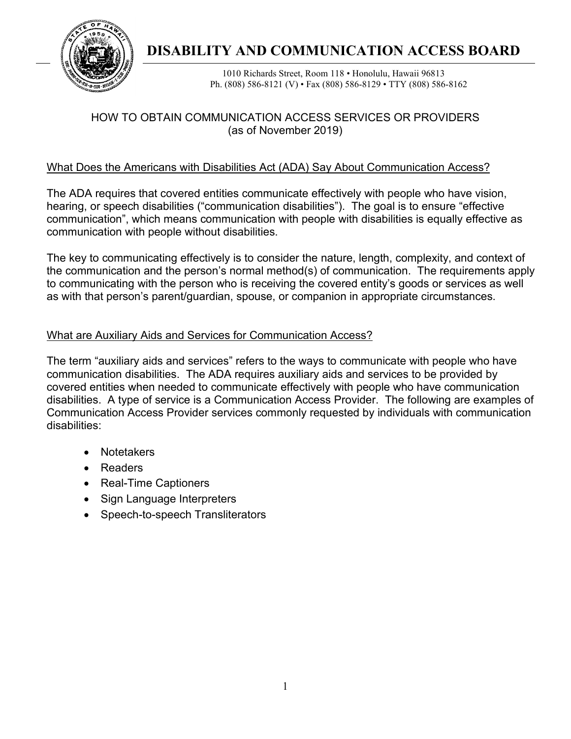

# **traad DISABILITY AND COMMUNICATION ACCESS BOARD**

1010 Richards Street, Room 118 • Honolulu, Hawaii 96813 Ph. (808) 586-8121 (V) • Fax (808) 586-8129 • TTY (808) 586-8162

# HOW TO OBTAIN COMMUNICATION ACCESS SERVICES OR PROVIDERS (as of November 2019)

# What Does the Americans with Disabilities Act (ADA) Say About Communication Access?

The ADA requires that covered entities communicate effectively with people who have vision, hearing, or speech disabilities ("communication disabilities"). The goal is to ensure "effective communication", which means communication with people with disabilities is equally effective as communication with people without disabilities.

The key to communicating effectively is to consider the nature, length, complexity, and context of the communication and the person's normal method(s) of communication. The requirements apply to communicating with the person who is receiving the covered entity's goods or services as well as with that person's parent/guardian, spouse, or companion in appropriate circumstances.

## What are Auxiliary Aids and Services for Communication Access?

The term "auxiliary aids and services" refers to the ways to communicate with people who have communication disabilities. The ADA requires auxiliary aids and services to be provided by covered entities when needed to communicate effectively with people who have communication disabilities. A type of service is a Communication Access Provider. The following are examples of Communication Access Provider services commonly requested by individuals with communication disabilities:

- Notetakers
- Readers
- Real-Time Captioners
- Sign Language Interpreters
- Speech-to-speech Transliterators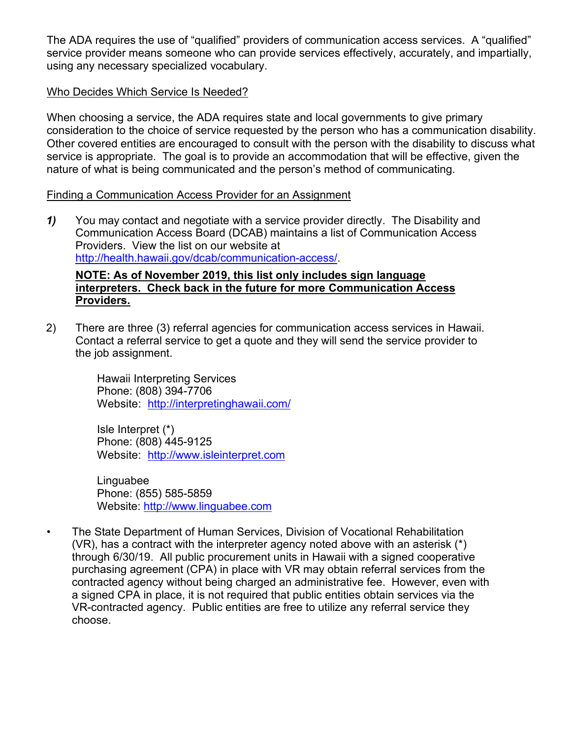The ADA requires the use of "qualified" providers of communication access services. A "qualified" service provider means someone who can provide services effectively, accurately, and impartially, using any necessary specialized vocabulary.

## Who Decides Which Service Is Needed?

When choosing a service, the ADA requires state and local governments to give primary consideration to the choice of service requested by the person who has a communication disability. Other covered entities are encouraged to consult with the person with the disability to discuss what service is appropriate. The goal is to provide an accommodation that will be effective, given the nature of what is being communicated and the person's method of communicating.

#### Finding a Communication Access Provider for an Assignment

*1)* You may contact and negotiate with a service provider directly. The Disability and Communication Access Board (DCAB) maintains a list of Communication Access Providers. View the list on our website at [http://health.hawaii.gov/dcab/communication-access/.](http://health.hawaii.gov/dcab/communication-access/)

#### **NOTE: As of November 2019, this list only includes sign language interpreters. Check back in the future for more Communication Access Providers.**

2) There are three (3) referral agencies for communication access services in Hawaii. Contact a referral service to get a quote and they will send the service provider to the job assignment.

> Hawaii Interpreting Services Phone: (808) 394-7706 Website: <http://interpretinghawaii.com/>

Isle Interpret (\*) Phone: (808) 445-9125 Website: [http://www.isleinterpret.com](http://www.isleinterpret.com/)

**Linguabee** Phone: (855) 585-5859 Website: [http://www.linguabee.com](http://www.linguabee.com/) 

• The State Department of Human Services, Division of Vocational Rehabilitation (VR), has a contract with the interpreter agency noted above with an asterisk (\*) through 6/30/19. All public procurement units in Hawaii with a signed cooperative purchasing agreement (CPA) in place with VR may obtain referral services from the contracted agency without being charged an administrative fee. However, even with a signed CPA in place, it is not required that public entities obtain services via the VR-contracted agency. Public entities are free to utilize any referral service they choose.